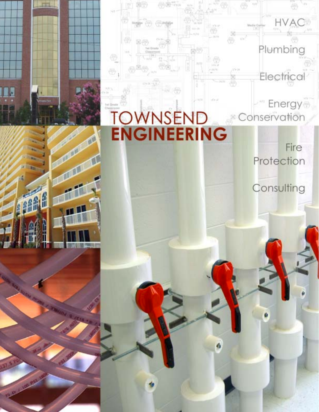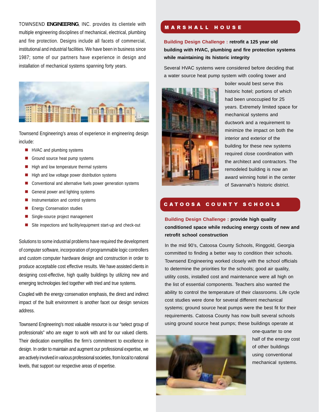TOWNSEND ENGINEERING, INC. provides its clientele with **MARSHALL HOUSE** multiple engineering disciplines of mechanical, electrical, plumbing and fire protection. Designs include all facets of commercial, institutional and industrial facilities. We have been in business since 1987; some of our partners have experience in design and installation of mechanical systems spanning forty years.



Townsend Engineering's areas of experience in engineering design include:

- **HVAC** and plumbing systems
- Ground source heat pump systems
- $\blacksquare$  High and low temperature thermal systems
- $\blacksquare$  High and low voltage power distribution systems
- Conventional and alternative fuels power generation systems
- General power and lighting systems
- **Instrumentation and control systems**
- **Energy Conservation studies**
- Single-source project management
- Site inspections and facility/equipment start-up and check-out

Solutions to some industrial problems have required the development of computer software, incorporation of programmable logic controllers and custom computer hardware design and construction in order to produce acceptable cost effective results. We have assisted clients in designing cost-effective, high quality buildings by utilizing new and emerging technologies tied together with tried and true systems.

Coupled with the energy conservation emphasis, the direct and indirect impact of the built environment is another facet our design services address.

Townsend Engineering's most valuable resource is our "select group of professionals" who are eager to work with and for our valued clients. Their dedication exemplifies the firm's commitment to excellence in design. In order to maintain and augment our professional expertise, we are actively involved in various professional societies, from local to national levels, that support our respective areas of expertise.

**Building Design Challenge : retrofit a 125 year old building with HVAC, plumbing and fire protection systems while maintaining its historic integrity**

Several HVAC systems were considered before deciding that a water source heat pump system with cooling tower and



boiler would best serve this historic hotel; portions of which had been unoccupied for 25 years. Extremely limited space for mechanical systems and ductwork and a requirement to minimize the impact on both the interior and exterior of the building for these new systems required close coordination with the architect and contractors. The remodeled building is now an award winning hotel in the center of Savannah's historic district.

# CATOOSA COUNTY SCHOOLS

**Building Design Challenge : provide high quality conditioned space while reducing energy costs of new and retrofit school construction**

In the mid 90's, Catoosa County Schools, Ringgold, Georgia committed to finding a better way to condition their schools. Townsend Engineering worked closely with the school officials to determine the priorities for the schools; good air quality, utility costs, installed cost and maintenance were all high on the list of essential components. Teachers also wanted the ability to control the temperature of their classrooms. Life cycle cost studies were done for several different mechanical systems; ground source heat pumps were the best fit for their requirements. Catoosa County has now built several schools using ground source heat pumps; these buildings operate at



one-quarter to one half of the energy cost of other buildings using conventional mechanical systems.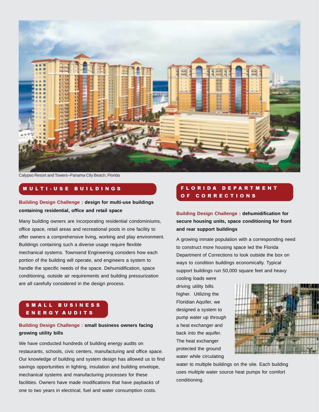

Calypso Resort and Towers–Panama City Beach, Florida

# MULTI-USE BUILDINGS

### **Building Design Challenge : design for multi-use buildings containing residential, office and retail space**

Many building owners are incorporating residential condominiums, office space, retail areas and recreational pools in one facility to offer owners a comprehensive living, working and play environment. Buildings containing such a diverse usage require flexible mechanical systems. Townsend Engineering considers how each portion of the building will operate, and engineers a system to handle the specific needs of the space. Dehumidification, space conditioning, outside air requirements and building pressurization are all carefully considered in the design process.

# SMALL BUSINESS ENERGY AUDITS

# **Building Design Challenge : small business owners facing growing utility bills**

We have conducted hundreds of building energy audits on restaurants, schools, civic centers, manufacturing and office space. Our knowledge of building and system design has allowed us to find savings opportunities in lighting, insulation and building envelope, mechanical systems and manufacturing processes for these facilities. Owners have made modifications that have paybacks of one to two years in electrical, fuel and water consumption costs.

# FLORIDA DEPARTMENT OF CORRECTIONS

**Building Design Challenge : dehumidification for secure housing units, space conditioning for front and rear support buildings**

A growing inmate population with a corresponding need to construct more housing space led the Florida Department of Corrections to look outside the box on ways to condition buildings economically. Typical support buildings run 50,000 square feet and heavy

cooling loads were driving utility bills higher. Utilizing the Floridian Aquifer, we designed a system to pump water up through a heat exchanger and back into the aquifer. The heat exchanger protected the ground water while circulating



water to multiple buildings on the site. Each building uses multiple water source heat pumps for comfort conditioning.